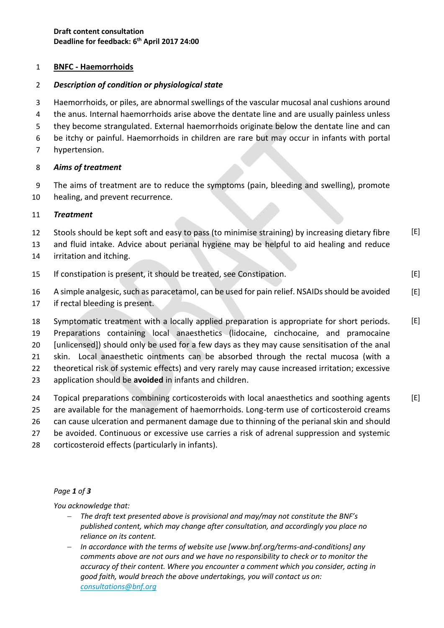# 1 **BNFC - Haemorrhoids**

# 2 *Description of condition or physiological state*

3 Haemorrhoids, or piles, are abnormal swellings of the vascular mucosal anal cushions around

4 the anus. Internal haemorrhoids arise above the dentate line and are usually painless unless 5 they become strangulated. External haemorrhoids originate below the dentate line and can

6 be itchy or painful. Haemorrhoids in children are rare but may occur in infants with portal

7 hypertension.

# 8 *Aims of treatment*

9 The aims of treatment are to reduce the symptoms (pain, bleeding and swelling), promote 10 healing, and prevent recurrence.

### 11 *Treatment*

- 12 Stools should be kept soft and easy to pass (to minimise straining) by increasing dietary fibre  $[E]$
- 13 and fluid intake. Advice about perianal hygiene may be helpful to aid healing and reduce
- 14 irritation and itching.
- 15 If constipation is present, it should be treated, see Constipation.
- 16 A simple analgesic, such as paracetamol, can be used for pain relief. NSAIDs should be avoided [E]

 $[E]$ 

17 if rectal bleeding is present.

 Symptomatic treatment with a locally applied preparation is appropriate for short periods. Preparations containing local anaesthetics (lidocaine, cinchocaine, and pramocaine [unlicensed]) should only be used for a few days as they may cause sensitisation of the anal [E]

21 skin. Local anaesthetic ointments can be absorbed through the rectal mucosa (with a

22 theoretical risk of systemic effects) and very rarely may cause increased irritation; excessive

- 23 application should be **avoided** in infants and children.
- 24 Topical preparations combining corticosteroids with local anaesthetics and soothing agents 25 are available for the management of haemorrhoids. Long-term use of corticosteroid creams  $[E]$
- 26 can cause ulceration and permanent damage due to thinning of the perianal skin and should
- 27 be avoided. Continuous or excessive use carries a risk of adrenal suppression and systemic
- 28 corticosteroid effects (particularly in infants).

### *Page 1 of 3*

*You acknowledge that:*

- *The draft text presented above is provisional and may/may not constitute the BNF's published content, which may change after consultation, and accordingly you place no reliance on its content.*
- *In accordance with the terms of website use [www.bnf.org/terms-and-conditions] any comments above are not ours and we have no responsibility to check or to monitor the accuracy of their content. Where you encounter a comment which you consider, acting in good faith, would breach the above undertakings, you will contact us on: [consultations@bnf.org](mailto:consultations@bnf.org)*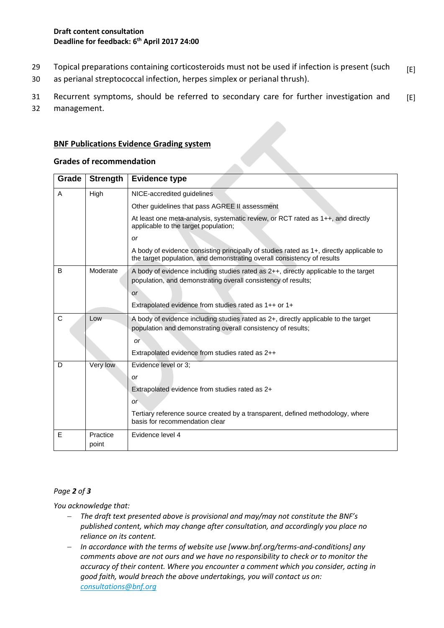- 29 Topical preparations containing corticosteroids must not be used if infection is present (such [E]
- 30 as perianal streptococcal infection, herpes simplex or perianal thrush).

31 Recurrent symptoms, should be referred to secondary care for further investigation and 32 management.  $[E]$ 

# **BNF Publications Evidence Grading system**

#### **Grades of recommendation**

| Grade | <b>Strength</b>   | <b>Evidence type</b>                                                                                                                                                                                          |
|-------|-------------------|---------------------------------------------------------------------------------------------------------------------------------------------------------------------------------------------------------------|
| A     | High              | NICE-accredited guidelines                                                                                                                                                                                    |
|       |                   | Other guidelines that pass AGREE II assessment                                                                                                                                                                |
|       |                   | At least one meta-analysis, systematic review, or RCT rated as 1++, and directly<br>applicable to the target population;                                                                                      |
|       |                   | <b>or</b>                                                                                                                                                                                                     |
|       |                   | A body of evidence consisting principally of studies rated as 1+, directly applicable to<br>the target population, and demonstrating overall consistency of results                                           |
| B     | Moderate          | A body of evidence including studies rated as 2++, directly applicable to the target<br>population, and demonstrating overall consistency of results;<br><b>or</b>                                            |
|       |                   | Extrapolated evidence from studies rated as 1++ or 1+                                                                                                                                                         |
| C     | Low               | A body of evidence including studies rated as 2+, directly applicable to the target<br>population and demonstrating overall consistency of results;<br><b>or</b>                                              |
|       |                   | Extrapolated evidence from studies rated as 2++                                                                                                                                                               |
| D     | Very low          | Evidence level or 3;<br><b>or</b><br>Extrapolated evidence from studies rated as 2+<br>or<br>Tertiary reference source created by a transparent, defined methodology, where<br>basis for recommendation clear |
| E     | Practice<br>point | Evidence level 4                                                                                                                                                                                              |

### *Page 2 of 3*

*You acknowledge that:*

- *The draft text presented above is provisional and may/may not constitute the BNF's published content, which may change after consultation, and accordingly you place no reliance on its content.*
- *In accordance with the terms of website use [www.bnf.org/terms-and-conditions] any comments above are not ours and we have no responsibility to check or to monitor the accuracy of their content. Where you encounter a comment which you consider, acting in good faith, would breach the above undertakings, you will contact us on: [consultations@bnf.org](mailto:consultations@bnf.org)*